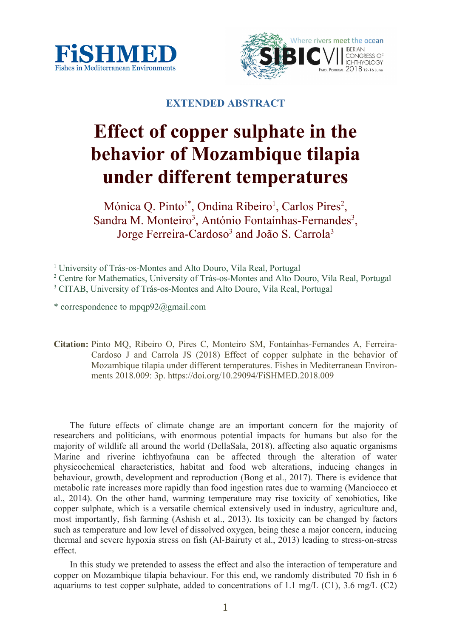



# **EXTENDED ABSTRACT**

# **Effect of copper sulphate in the behavior of Mozambique tilapia under different temperatures**

Mónica Q. Pinto<sup>1\*</sup>, Ondina Ribeiro<sup>1</sup>, Carlos Pires<sup>2</sup>, Sandra M. Monteiro<sup>3</sup>, António Fontaínhas-Fernandes<sup>3</sup>, Jorge Ferreira-Cardoso<sup>3</sup> and João S. Carrola<sup>3</sup>

\* correspondence to mpqp92@gmail.com

**Citation:** Pinto MQ, Ribeiro O, Pires C, Monteiro SM, Fontaínhas-Fernandes A, Ferreira-Cardoso J and Carrola JS (2018) Effect of copper sulphate in the behavior of Mozambique tilapia under different temperatures. Fishes in Mediterranean Environments 2018.009: 3p. https://doi.org/10.29094/FiSHMED.2018.009

The future effects of climate change are an important concern for the majority of researchers and politicians, with enormous potential impacts for humans but also for the majority of wildlife all around the world (DellaSala, 2018), affecting also aquatic organisms Marine and riverine ichthyofauna can be affected through the alteration of water physicochemical characteristics, habitat and food web alterations, inducing changes in behaviour, growth, development and reproduction (Bong et al., 2017). There is evidence that metabolic rate increases more rapidly than food ingestion rates due to warming (Manciocco et al., 2014). On the other hand, warming temperature may rise toxicity of xenobiotics, like copper sulphate, which is a versatile chemical extensively used in industry, agriculture and, most importantly, fish farming (Ashish et al., 2013). Its toxicity can be changed by factors such as temperature and low level of dissolved oxygen, being these a major concern, inducing thermal and severe hypoxia stress on fish (Al-Bairuty et al., 2013) leading to stress-on-stress effect.

In this study we pretended to assess the effect and also the interaction of temperature and copper on Mozambique tilapia behaviour. For this end, we randomly distributed 70 fish in 6 aquariums to test copper sulphate, added to concentrations of 1.1 mg/L (C1), 3.6 mg/L (C2)

<sup>&</sup>lt;sup>1</sup> University of Trás-os-Montes and Alto Douro, Vila Real, Portugal

<sup>&</sup>lt;sup>2</sup> Centre for Mathematics, University of Trás-os-Montes and Alto Douro, Vila Real, Portugal

<sup>&</sup>lt;sup>3</sup> CITAB, University of Trás-os-Montes and Alto Douro, Vila Real, Portugal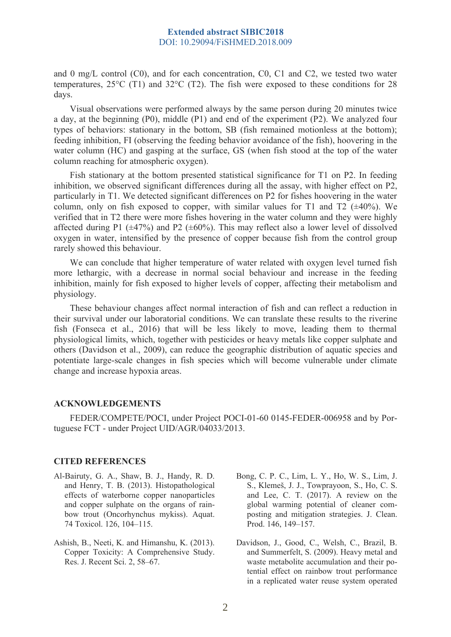### **Extended abstract SIBIC2018** DOI: 10.29094/FiSHMED.2018.009

and 0 mg/L control (C0), and for each concentration, C0, C1 and C2, we tested two water temperatures,  $25^{\circ}$ C (T1) and  $32^{\circ}$ C (T2). The fish were exposed to these conditions for 28 days.

Visual observations were performed always by the same person during 20 minutes twice a day, at the beginning (P0), middle (P1) and end of the experiment (P2). We analyzed four types of behaviors: stationary in the bottom, SB (fish remained motionless at the bottom); feeding inhibition, FI (observing the feeding behavior avoidance of the fish), hoovering in the water column (HC) and gasping at the surface, GS (when fish stood at the top of the water column reaching for atmospheric oxygen).

Fish stationary at the bottom presented statistical significance for T1 on P2. In feeding inhibition, we observed significant differences during all the assay, with higher effect on P2, particularly in T1. We detected significant differences on P2 for fishes hoovering in the water column, only on fish exposed to copper, with similar values for T1 and T2  $(\pm 40\%)$ . We verified that in T2 there were more fishes hovering in the water column and they were highly affected during P1 ( $\pm$ 47%) and P2 ( $\pm$ 60%). This may reflect also a lower level of dissolved oxygen in water, intensified by the presence of copper because fish from the control group rarely showed this behaviour.

We can conclude that higher temperature of water related with oxygen level turned fish more lethargic, with a decrease in normal social behaviour and increase in the feeding inhibition, mainly for fish exposed to higher levels of copper, affecting their metabolism and physiology.

These behaviour changes affect normal interaction of fish and can reflect a reduction in their survival under our laboratorial conditions. We can translate these results to the riverine fish (Fonseca et al., 2016) that will be less likely to move, leading them to thermal physiological limits, which, together with pesticides or heavy metals like copper sulphate and others (Davidson et al., 2009), can reduce the geographic distribution of aquatic species and potentiate large-scale changes in fish species which will become vulnerable under climate change and increase hypoxia areas.

#### **ACKNOWLEDGEMENTS**

FEDER/COMPETE/POCI, under Project POCI-01-60 0145-FEDER-006958 and by Portuguese FCT - under Project UID/AGR/04033/2013.

#### **CITED REFERENCES**

- Al-Bairuty, G. A., Shaw, B. J., Handy, R. D. and Henry, T. B. (2013). Histopathological effects of waterborne copper nanoparticles and copper sulphate on the organs of rainbow trout (Oncorhynchus mykiss). Aquat. 74 Toxicol. 126, 104–115.
- Ashish, B., Neeti, K. and Himanshu, K. (2013). Copper Toxicity: A Comprehensive Study. Res. J. Recent Sci. 2, 58–67.
- Bong, C. P. C., Lim, L. Y., Ho, W. S., Lim, J. S., Klemeš, J. J., Towprayoon, S., Ho, C. S. and Lee, C. T. (2017). A review on the global warming potential of cleaner composting and mitigation strategies. J. Clean. Prod. 146, 149–157.
- Davidson, J., Good, C., Welsh, C., Brazil, B. and Summerfelt, S. (2009). Heavy metal and waste metabolite accumulation and their potential effect on rainbow trout performance in a replicated water reuse system operated